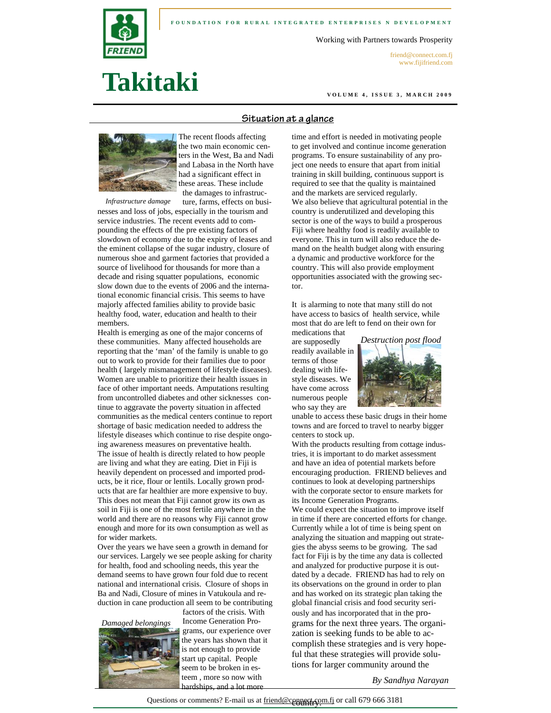



#### Working with Partners towards Prosperity

friend@connect.com.fj www.fijifriend.com

# **Takitaki**

**VOLUME 4, ISSUE 3, MARCH 2009** 

# **Situation at a glance**



The recent floods affecting the two main economic centers in the West, Ba and Nadi and Labasa in the North have had a significant effect in these areas. These include the damages to infrastructure, farms, effects on busi-

*Infrastructure damage* 

nesses and loss of jobs, especially in the tourism and service industries. The recent events add to compounding the effects of the pre existing factors of slowdown of economy due to the expiry of leases and the eminent collapse of the sugar industry, closure of numerous shoe and garment factories that provided a source of livelihood for thousands for more than a decade and rising squatter populations, economic slow down due to the events of 2006 and the international economic financial crisis. This seems to have majorly affected families ability to provide basic healthy food, water, education and health to their members.

Health is emerging as one of the major concerns of these communities. Many affected households are reporting that the 'man' of the family is unable to go out to work to provide for their families due to poor health ( largely mismanagement of lifestyle diseases). Women are unable to prioritize their health issues in face of other important needs. Amputations resulting from uncontrolled diabetes and other sicknesses continue to aggravate the poverty situation in affected communities as the medical centers continue to report shortage of basic medication needed to address the lifestyle diseases which continue to rise despite ongoing awareness measures on preventative health. The issue of health is directly related to how people are living and what they are eating. Diet in Fiji is heavily dependent on processed and imported products, be it rice, flour or lentils. Locally grown products that are far healthier are more expensive to buy. This does not mean that Fiji cannot grow its own as soil in Fiji is one of the most fertile anywhere in the world and there are no reasons why Fiji cannot grow enough and more for its own consumption as well as for wider markets.

Over the years we have seen a growth in demand for our services. Largely we see people asking for charity for health, food and schooling needs, this year the demand seems to have grown four fold due to recent national and international crisis. Closure of shops in Ba and Nadi, Closure of mines in Vatukoula and reduction in cane production all seem to be contributing factors of the crisis. With

*Damaged belongings* 



Income Generation Programs, our experience over the years has shown that it is not enough to provide start up capital. People seem to be broken in esteem , more so now with hardships, and a lot more

time and effort is needed in motivating people to get involved and continue income generation programs. To ensure sustainability of any project one needs to ensure that apart from initial training in skill building, continuous support is required to see that the quality is maintained and the markets are serviced regularly. We also believe that agricultural potential in the country is underutilized and developing this sector is one of the ways to build a prosperous Fiji where healthy food is readily available to everyone. This in turn will also reduce the demand on the health budget along with ensuring a dynamic and productive workforce for the country. This will also provide employment opportunities associated with the growing sector.

It is alarming to note that many still do not have access to basics of health service, while most that do are left to fend on their own for

medications that are supposedly readily available in terms of those dealing with lifestyle diseases. We have come across numerous people who say they are



unable to access these basic drugs in their home towns and are forced to travel to nearby bigger centers to stock up.

With the products resulting from cottage industries, it is important to do market assessment and have an idea of potential markets before encouraging production. FRIEND believes and continues to look at developing partnerships with the corporate sector to ensure markets for its Income Generation Programs.

We could expect the situation to improve itself in time if there are concerted efforts for change. Currently while a lot of time is being spent on analyzing the situation and mapping out strategies the abyss seems to be growing. The sad fact for Fiji is by the time any data is collected and analyzed for productive purpose it is outdated by a decade. FRIEND has had to rely on its observations on the ground in order to plan and has worked on its strategic plan taking the global financial crisis and food security seriously and has incorporated that in the programs for the next three years. The organization is seeking funds to be able to accomplish these strategies and is very hopeful that these strategies will provide solutions for larger community around the

*By Sandhya Narayan*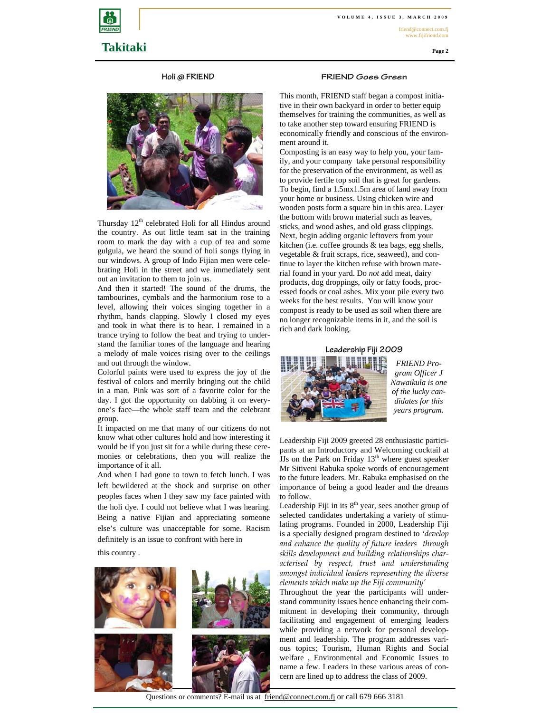friend@connect.com.fj www.fijifriend.com

**Page 2** 



### **Holi @ FRIEND**



Thursday  $12<sup>th</sup>$  celebrated Holi for all Hindus around the country. As out little team sat in the training room to mark the day with a cup of tea and some gulgula, we heard the sound of holi songs flying in our windows. A group of Indo Fijian men were celebrating Holi in the street and we immediately sent out an invitation to them to join us.

And then it started! The sound of the drums, the tambourines, cymbals and the harmonium rose to a level, allowing their voices singing together in a rhythm, hands clapping. Slowly I closed my eyes and took in what there is to hear. I remained in a trance trying to follow the beat and trying to understand the familiar tones of the language and hearing a melody of male voices rising over to the ceilings and out through the window.

Colorful paints were used to express the joy of the festival of colors and merrily bringing out the child in a man. Pink was sort of a favorite color for the day. I got the opportunity on dabbing it on everyone's face—the whole staff team and the celebrant group.

It impacted on me that many of our citizens do not know what other cultures hold and how interesting it would be if you just sit for a while during these ceremonies or celebrations, then you will realize the importance of it all.

And when I had gone to town to fetch lunch. I was left bewildered at the shock and surprise on other peoples faces when I they saw my face painted with the holi dye. I could not believe what I was hearing. Being a native Fijian and appreciating someone else's culture was unacceptable for some. Racism definitely is an issue to confront with here in

this country .



#### **FRIEND Goes Green**

This month, FRIEND staff began a compost initiative in their own backyard in order to better equip themselves for training the communities, as well as to take another step toward ensuring FRIEND is economically friendly and conscious of the environment around it.

Composting is an easy way to help you, your family, and your company take personal responsibility for the preservation of the environment, as well as to provide fertile top soil that is great for gardens. To begin, find a 1.5mx1.5m area of land away from your home or business. Using chicken wire and wooden posts form a square bin in this area. Layer the bottom with brown material such as leaves, sticks, and wood ashes, and old grass clippings. Next, begin adding organic leftovers from your kitchen (i.e. coffee grounds & tea bags, egg shells, vegetable & fruit scraps, rice, seaweed), and continue to layer the kitchen refuse with brown material found in your yard. Do *not* add meat, dairy products, dog droppings, oily or fatty foods, processed foods or coal ashes. Mix your pile every two weeks for the best results. You will know your compost is ready to be used as soil when there are no longer recognizable items in it, and the soil is rich and dark looking.



*FRIEND Program Officer J Nawaikula is one of the lucky candidates for this years program.* 

Leadership Fiji 2009 greeted 28 enthusiastic participants at an Introductory and Welcoming cocktail at JJs on the Park on Friday  $13<sup>th</sup>$  where guest speaker Mr Sitiveni Rabuka spoke words of encouragement to the future leaders. Mr. Rabuka emphasised on the importance of being a good leader and the dreams to follow.

Leadership Fiji in its  $8<sup>th</sup>$  year, sees another group of selected candidates undertaking a variety of stimulating programs. Founded in 2000, Leadership Fiji is a specially designed program destined to *'develop and enhance the quality of future leaders through skills development and building relationships characterised by respect, trust and understanding amongst individual leaders representing the diverse elements which make up the Fiji community'* 

Throughout the year the participants will understand community issues hence enhancing their commitment in developing their community, through facilitating and engagement of emerging leaders while providing a network for personal development and leadership. The program addresses various topics; Tourism, Human Rights and Social welfare , Environmental and Economic Issues to name a few. Leaders in these various areas of concern are lined up to address the class of 2009.

Questions or comments? E-mail us at friend@connect.com.fj or call 679 666 3181